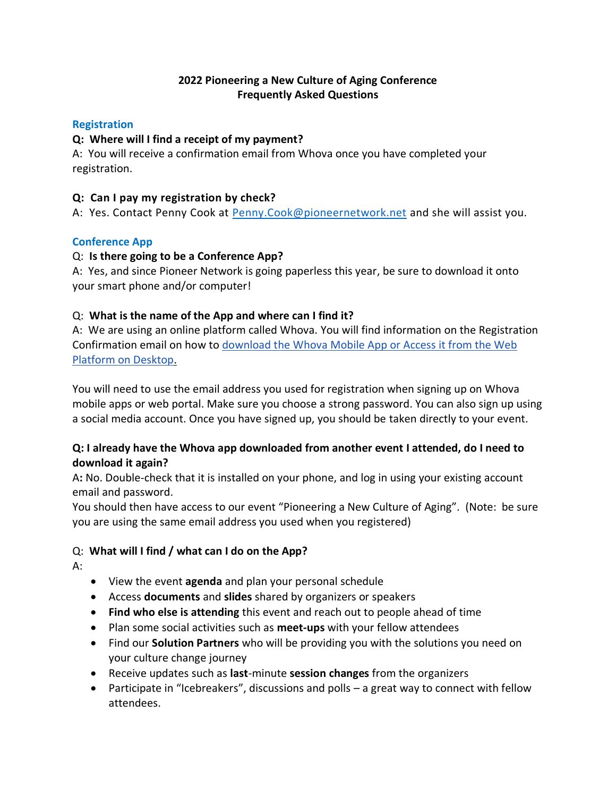## **2022 Pioneering a New Culture of Aging Conference Frequently Asked Questions**

## **Registration**

## **Q: Where will I find a receipt of my payment?**

A: You will receive a confirmation email from Whova once you have completed your registration.

## **Q: Can I pay my registration by check?**

A: Yes. Contact Penny Cook at [Penny.Cook@pioneernetwork.net](mailto:Penny.Cook@pioneernetwork.net?subject=Conference%20Payment) and she will assist you.

## **Conference App**

## Q: **Is there going to be a Conference App?**

A: Yes, and since Pioneer Network is going paperless this year, be sure to download it onto your smart phone and/or computer!

## Q: **What is the name of the App and where can I find it?**

A: We are using an online platform called Whova. You will find information on the Registration Confirmation email on how to download the Whova Mobile App or Access it from the Web Platform on Desktop.

You will need to use the email address you used for registration when signing up on Whova mobile apps or web portal. Make sure you choose a strong password. You can also sign up using a social media account. Once you have signed up, you should be taken directly to your event.

## **Q: I already have the Whova app downloaded from another event I attended, do I need to download it again?**

A**:** No. Double-check that it is installed on your phone, and log in using your existing account email and password.

You should then have access to our event "Pioneering a New Culture of Aging". (Note: be sure you are using the same email address you used when you registered)

# Q: **What will I find / what can I do on the App?**

A:

- View the event **agenda** and plan your personal schedule
- Access **documents** and **slides** shared by organizers or speakers
- **Find who else is attending** this event and reach out to people ahead of time
- Plan some social activities such as **meet-ups** with your fellow attendees
- Find our **Solution Partners** who will be providing you with the solutions you need on your culture change journey
- Receive updates such as **last**-minute **session changes** from the organizers
- Participate in "Icebreakers", discussions and polls a great way to connect with fellow attendees.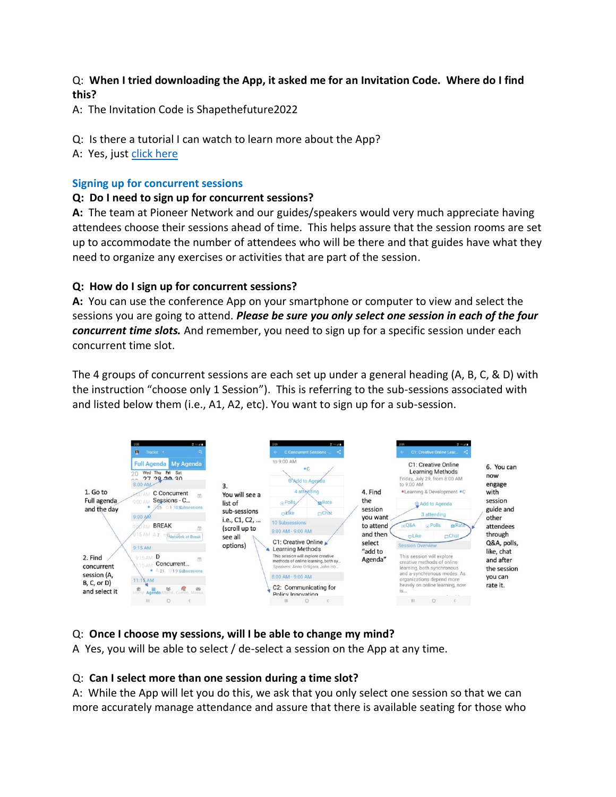## Q: **When I tried downloading the App, it asked me for an Invitation Code. Where do I find this?**

A: The Invitation Code is Shapethefuture2022

#### Q: Is there a tutorial I can watch to learn more about the App?

A: Yes, just click here

#### **Signing up for concurrent sessions**

#### **Q: Do I need to sign up for concurrent sessions?**

**A:** The team at Pioneer Network and our guides/speakers would very much appreciate having attendees choose their sessions ahead of time. This helps assure that the session rooms are set up to accommodate the number of attendees who will be there and that guides have what they need to organize any exercises or activities that are part of the session.

#### **Q: How do I sign up for concurrent sessions?**

**A:** You can use the conference App on your smartphone or computer to view and select the sessions you are going to attend. *Please be sure you only select one session in each of the four concurrent time slots.* And remember, you need to sign up for a specific session under each concurrent time slot.

The 4 groups of concurrent sessions are each set up under a general heading (A, B, C, & D) with the instruction "choose only 1 Session"). This is referring to the sub-sessions associated with and listed below them (i.e., A1, A2, etc). You want to sign up for a sub-session.



# Q: **Once I choose my sessions, will I be able to change my mind?**

A Yes, you will be able to select / de-select a session on the App at any time.

## Q: **Can I select more than one session during a time slot?**

A: While the App will let you do this, we ask that you only select one session so that we can more accurately manage attendance and assure that there is available seating for those who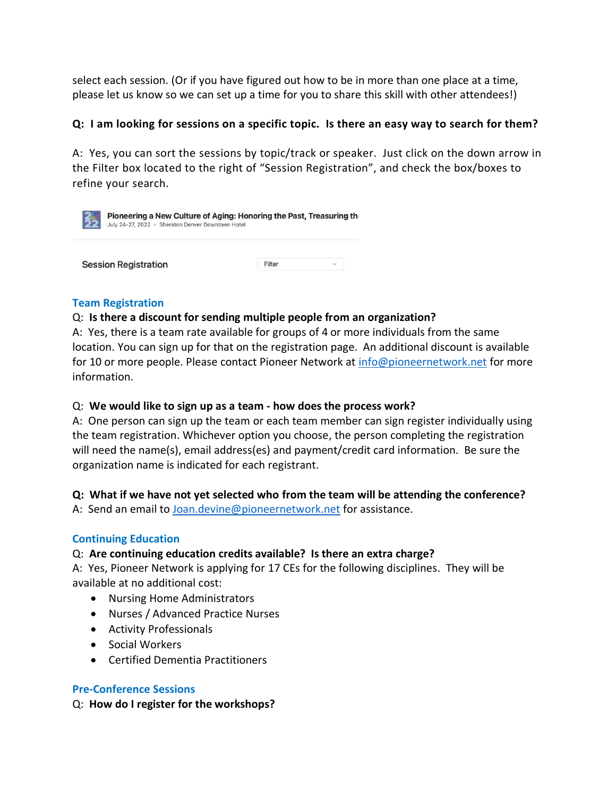select each session. (Or if you have figured out how to be in more than one place at a time, please let us know so we can set up a time for you to share this skill with other attendees!)

### **Q: I am looking for sessions on a specific topic. Is there an easy way to search for them?**

A: Yes, you can sort the sessions by topic/track or speaker. Just click on the down arrow in the Filter box located to the right of "Session Registration", and check the box/boxes to refine your search.

| $\frac{2}{2}$ | Pioneering a New Culture of Aging: Honoring the Past, Treasuring the<br>July 24-27, 2022 · Sheraton Denver Downtown Hotel |  |
|---------------|---------------------------------------------------------------------------------------------------------------------------|--|
|               |                                                                                                                           |  |

**Session Registration** 

Filter  $\mathbf{v}_\mathrm{c}$ 

#### **Team Registration**

#### Q: **Is there a discount for sending multiple people from an organization?**

A: Yes, there is a team rate available for groups of 4 or more individuals from the same location. You can sign up for that on the registration page. An additional discount is available for 10 or more people. Please contact Pioneer Network at [info@pioneernetwork.net](mailto:info@pioneernetwork.net%20?subject=Team%20Registration) for more information.

#### Q: **We would like to sign up as a team - how does the process work?**

A: One person can sign up the team or each team member can sign register individually using the team registration. Whichever option you choose, the person completing the registration will need the name(s), email address(es) and payment/credit card information. Be sure the organization name is indicated for each registrant.

## **Q: What if we have not yet selected who from the team will be attending the conference?**

A: Send an email to [Joan.devine@pioneernetwork.net](mailto:Joan.devine@pioneernetwork.net?subject=Team%20Registration) for assistance.

## **Continuing Education**

## Q: **Are continuing education credits available? Is there an extra charge?**

A: Yes, Pioneer Network is applying for 17 CEs for the following disciplines. They will be available at no additional cost:

- Nursing Home Administrators
- Nurses / Advanced Practice Nurses
- Activity Professionals
- Social Workers
- Certified Dementia Practitioners

#### **Pre-Conference Sessions**

Q: **How do I register for the workshops?**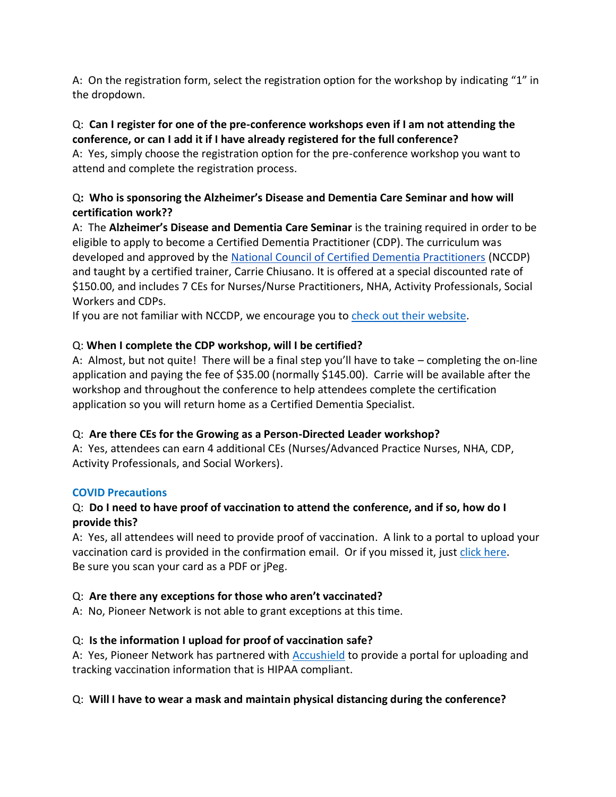A: On the registration form, select the registration option for the workshop by indicating "1" in the dropdown.

## Q: **Can I register for one of the pre-conference workshops even if I am not attending the conference, or can I add it if I have already registered for the full conference?**

A: Yes, simply choose the registration option for the pre-conference workshop you want to attend and complete the registration process.

# Q**: Who is sponsoring the Alzheimer's Disease and Dementia Care Seminar and how will certification work??**

A: The **Alzheimer's Disease and Dementia Care Seminar** is the training required in order to be eligible to apply to become a Certified Dementia Practitioner (CDP). The curriculum was developed and approved by the National Council of Certified Dementia Practitioners (NCCDP) and taught by a certified trainer, Carrie Chiusano. It is offered at a special discounted rate of \$150.00, and includes 7 CEs for Nurses/Nurse Practitioners, NHA, Activity Professionals, Social Workers and CDPs.

If you are not familiar with NCCDP, we encourage you to [check out their website.](https://www.nccdp.org/)

# Q: **When I complete the CDP workshop, will I be certified?**

A: Almost, but not quite! There will be a final step you'll have to take – completing the on-line application and paying the fee of \$35.00 (normally \$145.00). Carrie will be available after the workshop and throughout the conference to help attendees complete the certification application so you will return home as a Certified Dementia Specialist.

## Q: **Are there CEs for the Growing as a Person-Directed Leader workshop?**

A: Yes, attendees can earn 4 additional CEs (Nurses/Advanced Practice Nurses, NHA, CDP, Activity Professionals, and Social Workers).

## **COVID Precautions**

## Q: **Do I need to have proof of vaccination to attend the conference, and if so, how do I provide this?**

A: Yes, all attendees will need to provide proof of vaccination. A link to a portal to upload your vaccination card is provided in the confirmation email. Or if you missed it, just [click here.](https://hipaa.jotform.com/220616102727144) Be sure you scan your card as a PDF or jPeg.

## Q: **Are there any exceptions for those who aren't vaccinated?**

A: No, Pioneer Network is not able to grant exceptions at this time.

# Q: **Is the information I upload for proof of vaccination safe?**

A: Yes, Pioneer Network has partnered with [Accushield](https://www.accushield.com/) to provide a portal for uploading and tracking vaccination information that is HIPAA compliant.

## Q: **Will I have to wear a mask and maintain physical distancing during the conference?**